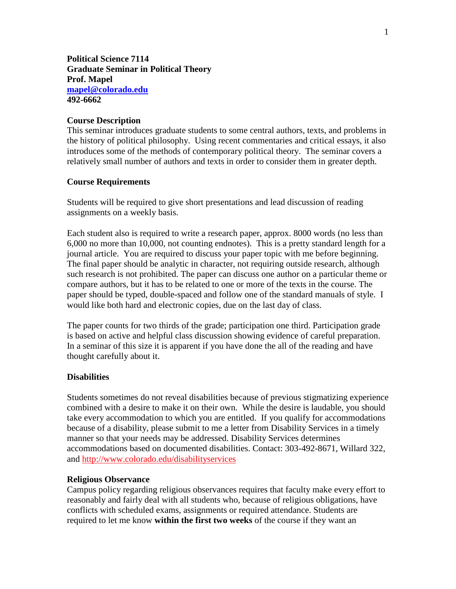**Political Science 7114 Graduate Seminar in Political Theory Prof. Mapel [mapel@colorado.edu](mailto:mapel@colorado.edu) 492-6662**

### **Course Description**

This seminar introduces graduate students to some central authors, texts, and problems in the history of political philosophy. Using recent commentaries and critical essays, it also introduces some of the methods of contemporary political theory. The seminar covers a relatively small number of authors and texts in order to consider them in greater depth.

#### **Course Requirements**

Students will be required to give short presentations and lead discussion of reading assignments on a weekly basis.

Each student also is required to write a research paper, approx. 8000 words (no less than 6,000 no more than 10,000, not counting endnotes). This is a pretty standard length for a journal article. You are required to discuss your paper topic with me before beginning. The final paper should be analytic in character, not requiring outside research, although such research is not prohibited. The paper can discuss one author on a particular theme or compare authors, but it has to be related to one or more of the texts in the course. The paper should be typed, double-spaced and follow one of the standard manuals of style. I would like both hard and electronic copies, due on the last day of class.

The paper counts for two thirds of the grade; participation one third. Participation grade is based on active and helpful class discussion showing evidence of careful preparation. In a seminar of this size it is apparent if you have done the all of the reading and have thought carefully about it.

#### **Disabilities**

Students sometimes do not reveal disabilities because of previous stigmatizing experience combined with a desire to make it on their own. While the desire is laudable, you should take every accommodation to which you are entitled. If you qualify for accommodations because of a disability, please submit to me a letter from Disability Services in a timely manner so that your needs may be addressed. Disability Services determines accommodations based on documented disabilities. Contact: 303-492-8671, Willard 322, and<http://www.colorado.edu/disabilityservices>

#### **Religious Observance**

Campus policy regarding religious observances requires that faculty make every effort to reasonably and fairly deal with all students who, because of religious obligations, have conflicts with scheduled exams, assignments or required attendance. Students are required to let me know **within the first two weeks** of the course if they want an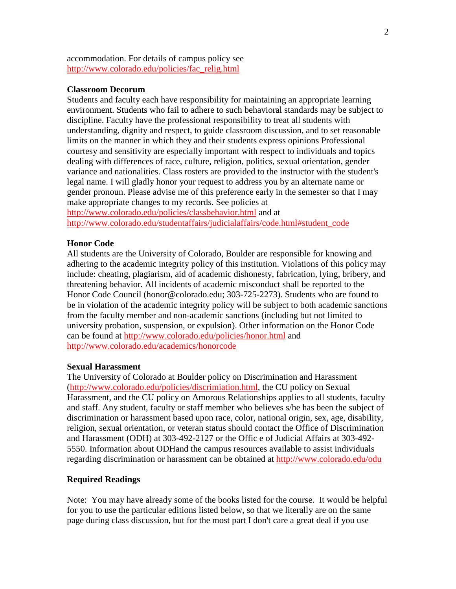accommodation. For details of campus policy see [http://www.colorado.edu/policies/fac\\_relig.html](http://www.colorado.edu/policies/fac_relig.html)

#### **Classroom Decorum**

Students and faculty each have responsibility for maintaining an appropriate learning environment. Students who fail to adhere to such behavioral standards may be subject to discipline. Faculty have the professional responsibility to treat all students with understanding, dignity and respect, to guide classroom discussion, and to set reasonable limits on the manner in which they and their students express opinions Professional courtesy and sensitivity are especially important with respect to individuals and topics dealing with differences of race, culture, religion, politics, sexual orientation, gender variance and nationalities. Class rosters are provided to the instructor with the student's legal name. I will gladly honor your request to address you by an alternate name or gender pronoun. Please advise me of this preference early in the semester so that I may make appropriate changes to my records. See policies at <http://www.colorado.edu/policies/classbehavior.html> and at [http://www.colorado.edu/studentaffairs/judicialaffairs/code.html#student\\_code](http://www.colorado.edu/studentaffairs/judicialaffairs/code.html#student_code)

#### **Honor Code**

All students are the University of Colorado, Boulder are responsible for knowing and adhering to the academic integrity policy of this institution. Violations of this policy may include: cheating, plagiarism, aid of academic dishonesty, fabrication, lying, bribery, and threatening behavior. All incidents of academic misconduct shall be reported to the Honor Code Council (honor@colorado.edu; 303-725-2273). Students who are found to be in violation of the academic integrity policy will be subject to both academic sanctions from the faculty member and non-academic sanctions (including but not limited to university probation, suspension, or expulsion). Other information on the Honor Code can be found at<http://www.colorado.edu/policies/honor.html> and <http://www.colorado.edu/academics/honorcode>

#### **Sexual Harassment**

The University of Colorado at Boulder policy on Discrimination and Harassment [\(http://www.colorado.edu/policies/discrimiation.html,](http://www.colorado.edu/policies/discrimiation.html) the CU policy on Sexual Harassment, and the CU policy on Amorous Relationships applies to all students, faculty and staff. Any student, faculty or staff member who believes s/he has been the subject of discrimination or harassment based upon race, color, national origin, sex, age, disability, religion, sexual orientation, or veteran status should contact the Office of Discrimination and Harassment (ODH) at 303-492-2127 or the Offic e of Judicial Affairs at 303-492- 5550. Information about ODHand the campus resources available to assist individuals regarding discrimination or harassment can be obtained at<http://www.colorado.edu/odu>

#### **Required Readings**

Note: You may have already some of the books listed for the course. It would be helpful for you to use the particular editions listed below, so that we literally are on the same page during class discussion, but for the most part I don't care a great deal if you use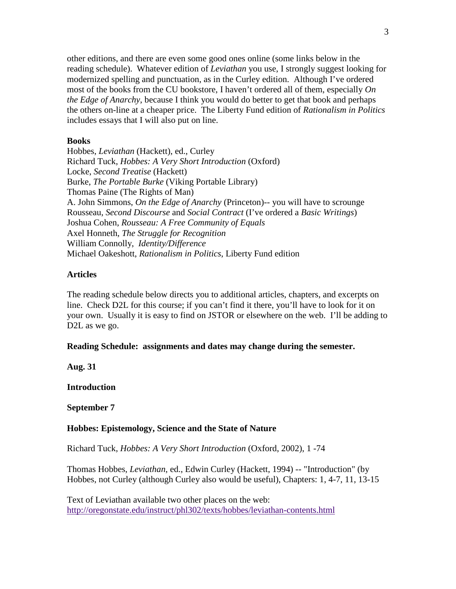other editions, and there are even some good ones online (some links below in the reading schedule). Whatever edition of *Leviathan* you use, I strongly suggest looking for modernized spelling and punctuation, as in the Curley edition. Although I've ordered most of the books from the CU bookstore, I haven't ordered all of them, especially *On the Edge of Anarchy*, because I think you would do better to get that book and perhaps the others on-line at a cheaper price. The Liberty Fund edition of *Rationalism in Politics* includes essays that I will also put on line.

#### **Books**

Hobbes, *Leviathan* (Hackett), ed., Curley Richard Tuck, *Hobbes: A Very Short Introduction* (Oxford) Locke, *Second Treatise* (Hackett) Burke, *The Portable Burke* (Viking Portable Library) Thomas Paine (The Rights of Man) A. John Simmons, *On the Edge of Anarchy* (Princeton)-- you will have to scrounge Rousseau, *Second Discourse* and *Social Contract* (I've ordered a *Basic Writings*) Joshua Cohen, *Rousseau: A Free Community of Equals* Axel Honneth, *The Struggle for Recognition* William Connolly, *Identity/Difference* Michael Oakeshott, *Rationalism in Politics*, Liberty Fund edition

# **Articles**

The reading schedule below directs you to additional articles, chapters, and excerpts on line. Check D2L for this course; if you can't find it there, you'll have to look for it on your own. Usually it is easy to find on JSTOR or elsewhere on the web. I'll be adding to D<sub>2</sub>L as we go.

### **Reading Schedule: assignments and dates may change during the semester.**

**Aug. 31**

**Introduction** 

#### **September 7**

#### **Hobbes: Epistemology, Science and the State of Nature**

Richard Tuck, *Hobbes: A Very Short Introduction* (Oxford, 2002), 1 -74

Thomas Hobbes, *Leviathan*, ed., Edwin Curley (Hackett, 1994) -- "Introduction" (by Hobbes, not Curley (although Curley also would be useful), Chapters: 1, 4-7, 11, 13-15

Text of Leviathan available two other places on the web: <http://oregonstate.edu/instruct/phl302/texts/hobbes/leviathan-contents.html>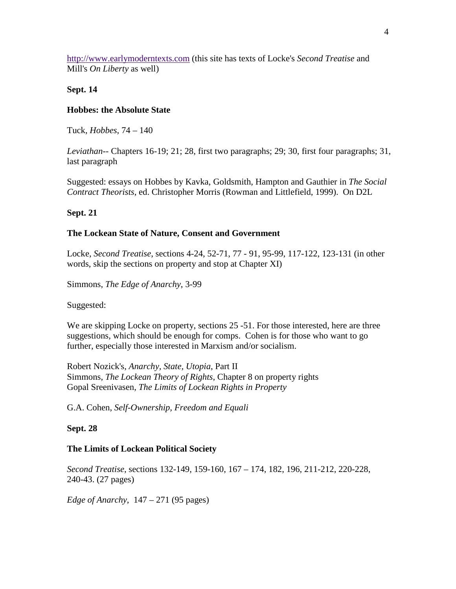[http://www.earlymoderntexts.com](http://www.earlymoderntexts.com/) (this site has texts of Locke's *Second Treatise* and Mill's *On Liberty* as well)

**Sept. 14**

## **Hobbes: the Absolute State**

Tuck, *Hobbes*, 74 – 140

*Leviathan*-- Chapters 16-19; 21; 28, first two paragraphs; 29; 30, first four paragraphs; 31, last paragraph

Suggested: essays on Hobbes by Kavka, Goldsmith, Hampton and Gauthier in *The Social Contract Theorists*, ed. Christopher Morris (Rowman and Littlefield, 1999). On D2L

# **Sept. 21**

# **The Lockean State of Nature, Consent and Government**

Locke, *Second Treatise*, sections 4-24, 52-71, 77 - 91, 95-99, 117-122, 123-131 (in other words, skip the sections on property and stop at Chapter XI)

Simmons, *The Edge of Anarchy*, 3-99

Suggested:

We are skipping Locke on property, sections 25 -51. For those interested, here are three suggestions, which should be enough for comps. Cohen is for those who want to go further, especially those interested in Marxism and/or socialism.

Robert Nozick's, *Anarchy, State, Utopia*, Part II Simmons, *The Lockean Theory of Rights*, Chapter 8 on property rights Gopal Sreenivasen, *The Limits of Lockean Rights in Property*

G.A. Cohen, *Self-Ownership, Freedom and Equali*

## **Sept. 28**

## **The Limits of Lockean Political Society**

*Second Treatise*, sections 132-149, 159-160, 167 – 174, 182, 196, 211-212, 220-228, 240-43. (27 pages)

*Edge of Anarchy*, 147 – 271 (95 pages)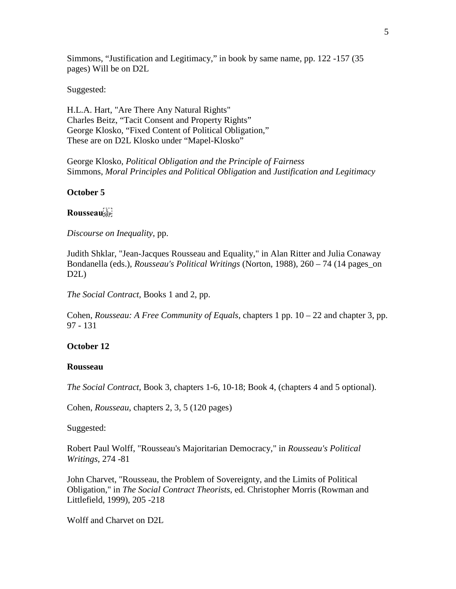Simmons, "Justification and Legitimacy," in book by same name, pp. 122 -157 (35 pages) Will be on D2L

Suggested:

H.L.A. Hart, "Are There Any Natural Rights" Charles Beitz, "Tacit Consent and Property Rights" George Klosko, "Fixed Content of Political Obligation," These are on D2L Klosko under "Mapel-Klosko"

George Klosko, *Political Obligation and the Principle of Fairness* Simmons, *Moral Principles and Political Obligation* and *Justification and Legitimacy*

### **October 5**

### **Rousseau**

*Discourse on Inequality*, pp.

Judith Shklar, "Jean-Jacques Rousseau and Equality," in Alan Ritter and Julia Conaway Bondanella (eds.), *Rousseau's Political Writings* (Norton, 1988), 260 – 74 (14 pages\_on D2L)

*The Social Contract,* Books 1 and 2, pp.

Cohen, *Rousseau: A Free Community of Equals*, chapters 1 pp. 10 – 22 and chapter 3, pp. 97 - 131

## **October 12**

#### **Rousseau**

*The Social Contract*, Book 3, chapters 1-6, 10-18; Book 4, (chapters 4 and 5 optional).

Cohen, *Rousseau*, chapters 2, 3, 5 (120 pages)

Suggested:

Robert Paul Wolff, "Rousseau's Majoritarian Democracy," in *Rousseau's Political Writings*, 274 -81

John Charvet, "Rousseau, the Problem of Sovereignty, and the Limits of Political Obligation," in *The Social Contract Theorists*, ed. Christopher Morris (Rowman and Littlefield, 1999), 205 -218

Wolff and Charvet on D2L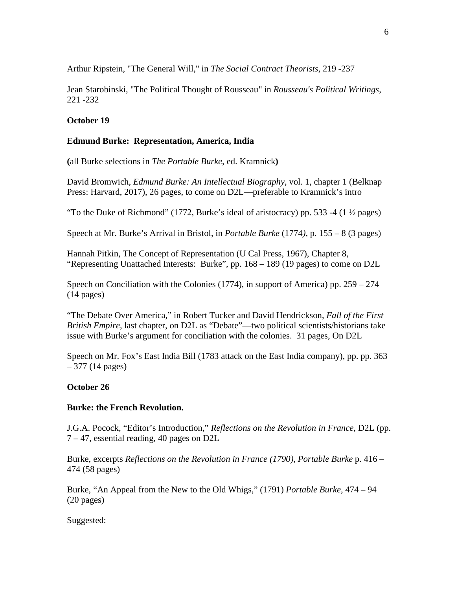Arthur Ripstein, "The General Will," in *The Social Contract Theorists,* 219 -237

Jean Starobinski, "The Political Thought of Rousseau" in *Rousseau's Political Writings*, 221 -232

# **October 19**

# **Edmund Burke: Representation, America, India**

**(**all Burke selections in *The Portable Burke*, ed. Kramnick**)**

David Bromwich, *Edmund Burke: An Intellectual Biography*, vol. 1, chapter 1 (Belknap Press: Harvard, 2017), 26 pages, to come on D2L—preferable to Kramnick's intro

"To the Duke of Richmond" (1772, Burke's ideal of aristocracy) pp. 533 -4 (1  $\frac{1}{2}$  pages)

Speech at Mr. Burke's Arrival in Bristol, in *Portable Burke* (1774*)*, p. 155 – 8 (3 pages)

Hannah Pitkin, The Concept of Representation (U Cal Press, 1967), Chapter 8, "Representing Unattached Interests: Burke", pp. 168 – 189 (19 pages) to come on D2L

Speech on Conciliation with the Colonies  $(1774)$ , in support of America) pp. 259 – 274 (14 pages)

"The Debate Over America," in Robert Tucker and David Hendrickson, *Fall of the First British Empire*, last chapter, on D2L as "Debate"—two political scientists/historians take issue with Burke's argument for conciliation with the colonies. 31 pages, On D2L

Speech on Mr. Fox's East India Bill (1783 attack on the East India company), pp. pp. 363  $-377(14 \text{ pages})$ 

# **October 26**

## **Burke: the French Revolution.**

J.G.A. Pocock, "Editor's Introduction," *Reflections on the Revolution in France*, D2L (pp. 7 – 47, essential reading, 40 pages on D2L

Burke, excerpts *Reflections on the Revolution in France (1790)*, *Portable Burke* p. 416 – 474 (58 pages)

Burke, "An Appeal from the New to the Old Whigs," (1791) *Portable Burke*, 474 – 94 (20 pages)

Suggested: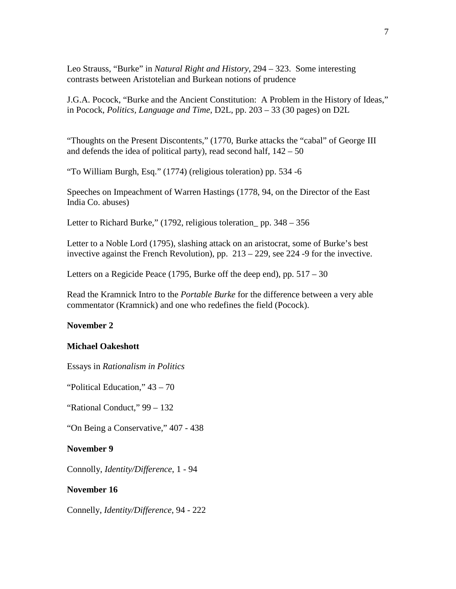Leo Strauss, "Burke" in *Natural Right and History*, 294 – 323. Some interesting contrasts between Aristotelian and Burkean notions of prudence

J.G.A. Pocock, "Burke and the Ancient Constitution: A Problem in the History of Ideas," in Pocock, *Politics, Language and Time*, D2L, pp. 203 – 33 (30 pages) on D2L

"Thoughts on the Present Discontents," (1770, Burke attacks the "cabal" of George III and defends the idea of political party), read second half,  $142 - 50$ 

"To William Burgh, Esq." (1774) (religious toleration) pp. 534 -6

Speeches on Impeachment of Warren Hastings (1778, 94, on the Director of the East India Co. abuses)

Letter to Richard Burke," (1792, religious toleration pp. 348 – 356

Letter to a Noble Lord (1795), slashing attack on an aristocrat, some of Burke's best invective against the French Revolution), pp. 213 – 229, see 224 -9 for the invective.

Letters on a Regicide Peace (1795, Burke off the deep end), pp. 517 – 30

Read the Kramnick Intro to the *Portable Burke* for the difference between a very able commentator (Kramnick) and one who redefines the field (Pocock).

#### **November 2**

#### **Michael Oakeshott**

Essays in *Rationalism in Politics*

"Political Education," 43 – 70

"Rational Conduct," 99 – 132

"On Being a Conservative," 407 - 438

#### **November 9**

Connolly, *Identity/Difference*, 1 - 94

#### **November 16**

Connelly, *Identity/Difference*, 94 - 222